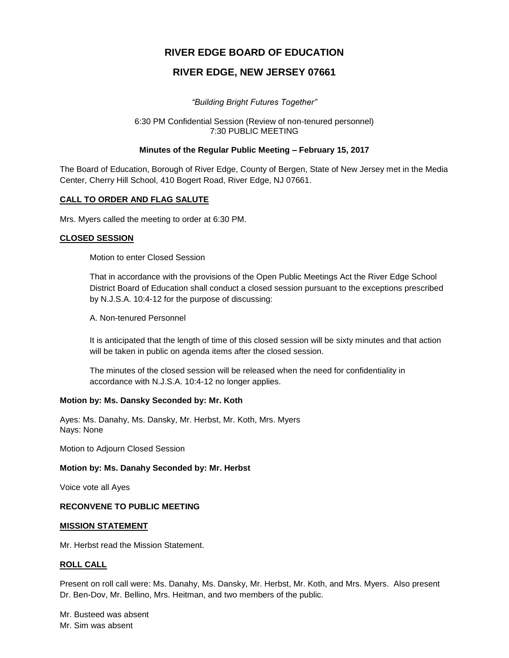# **RIVER EDGE BOARD OF EDUCATION**

# **RIVER EDGE, NEW JERSEY 07661**

*"Building Bright Futures Together"*

#### 6:30 PM Confidential Session (Review of non-tenured personnel) 7:30 PUBLIC MEETING

#### **Minutes of the Regular Public Meeting – February 15, 2017**

The Board of Education, Borough of River Edge, County of Bergen, State of New Jersey met in the Media Center, Cherry Hill School, 410 Bogert Road, River Edge, NJ 07661.

### **CALL TO ORDER AND FLAG SALUTE**

Mrs. Myers called the meeting to order at 6:30 PM.

### **CLOSED SESSION**

Motion to enter Closed Session

That in accordance with the provisions of the Open Public Meetings Act the River Edge School District Board of Education shall conduct a closed session pursuant to the exceptions prescribed by N.J.S.A. 10:4-12 for the purpose of discussing:

A. Non-tenured Personnel

It is anticipated that the length of time of this closed session will be sixty minutes and that action will be taken in public on agenda items after the closed session.

The minutes of the closed session will be released when the need for confidentiality in accordance with N.J.S.A. 10:4-12 no longer applies.

#### **Motion by: Ms. Dansky Seconded by: Mr. Koth**

Ayes: Ms. Danahy, Ms. Dansky, Mr. Herbst, Mr. Koth, Mrs. Myers Nays: None

Motion to Adjourn Closed Session

#### **Motion by: Ms. Danahy Seconded by: Mr. Herbst**

Voice vote all Ayes

#### **RECONVENE TO PUBLIC MEETING**

#### **MISSION STATEMENT**

Mr. Herbst read the Mission Statement.

#### **ROLL CALL**

Present on roll call were: Ms. Danahy, Ms. Dansky, Mr. Herbst, Mr. Koth, and Mrs. Myers. Also present Dr. Ben-Dov, Mr. Bellino, Mrs. Heitman, and two members of the public.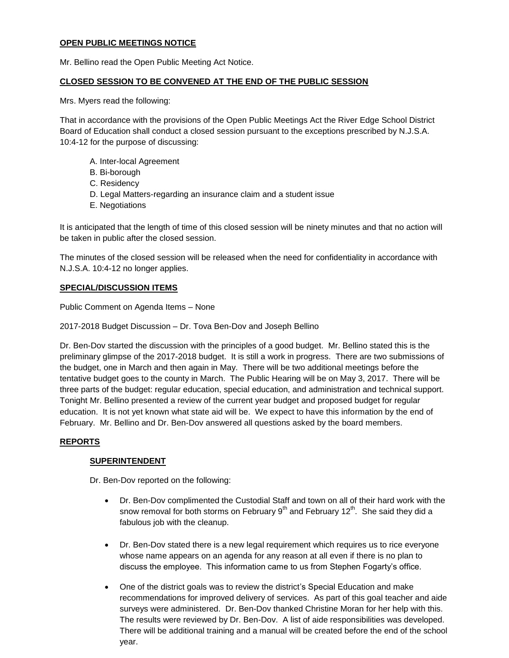### **OPEN PUBLIC MEETINGS NOTICE**

Mr. Bellino read the Open Public Meeting Act Notice.

### **CLOSED SESSION TO BE CONVENED AT THE END OF THE PUBLIC SESSION**

Mrs. Myers read the following:

That in accordance with the provisions of the Open Public Meetings Act the River Edge School District Board of Education shall conduct a closed session pursuant to the exceptions prescribed by N.J.S.A. 10:4-12 for the purpose of discussing:

- A. Inter-local Agreement
- B. Bi-borough
- C. Residency
- D. Legal Matters-regarding an insurance claim and a student issue
- E. Negotiations

It is anticipated that the length of time of this closed session will be ninety minutes and that no action will be taken in public after the closed session.

The minutes of the closed session will be released when the need for confidentiality in accordance with N.J.S.A. 10:4-12 no longer applies.

# **SPECIAL/DISCUSSION ITEMS**

Public Comment on Agenda Items – None

2017-2018 Budget Discussion – Dr. Tova Ben-Dov and Joseph Bellino

Dr. Ben-Dov started the discussion with the principles of a good budget. Mr. Bellino stated this is the preliminary glimpse of the 2017-2018 budget. It is still a work in progress. There are two submissions of the budget, one in March and then again in May. There will be two additional meetings before the tentative budget goes to the county in March. The Public Hearing will be on May 3, 2017. There will be three parts of the budget: regular education, special education, and administration and technical support. Tonight Mr. Bellino presented a review of the current year budget and proposed budget for regular education. It is not yet known what state aid will be. We expect to have this information by the end of February. Mr. Bellino and Dr. Ben-Dov answered all questions asked by the board members.

# **REPORTS**

# **SUPERINTENDENT**

Dr. Ben-Dov reported on the following:

- Dr. Ben-Dov complimented the Custodial Staff and town on all of their hard work with the snow removal for both storms on February  $9<sup>th</sup>$  and February 12<sup>th</sup>. She said they did a fabulous job with the cleanup.
- Dr. Ben-Dov stated there is a new legal requirement which requires us to rice everyone whose name appears on an agenda for any reason at all even if there is no plan to discuss the employee. This information came to us from Stephen Fogarty's office.
- One of the district goals was to review the district's Special Education and make recommendations for improved delivery of services. As part of this goal teacher and aide surveys were administered. Dr. Ben-Dov thanked Christine Moran for her help with this. The results were reviewed by Dr. Ben-Dov. A list of aide responsibilities was developed. There will be additional training and a manual will be created before the end of the school year.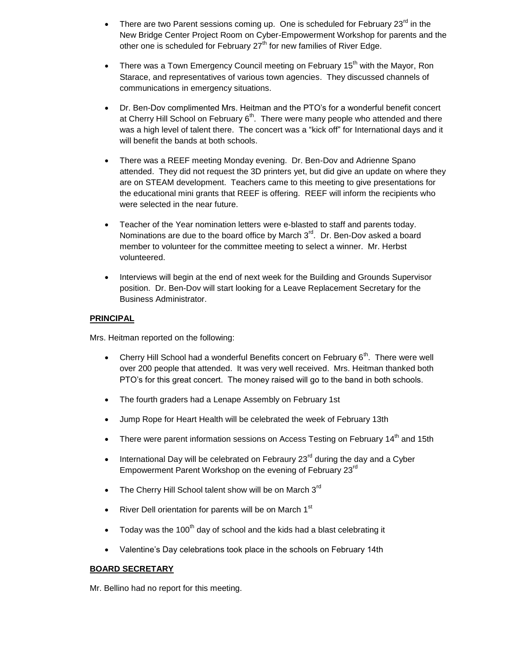- There are two Parent sessions coming up. One is scheduled for February  $23<sup>rd</sup>$  in the New Bridge Center Project Room on Cyber-Empowerment Workshop for parents and the other one is scheduled for February  $27<sup>th</sup>$  for new families of River Edge.
- There was a Town Emergency Council meeting on February 15<sup>th</sup> with the Mayor, Ron Starace, and representatives of various town agencies. They discussed channels of communications in emergency situations.
- Dr. Ben-Dov complimented Mrs. Heitman and the PTO's for a wonderful benefit concert at Cherry Hill School on February  $6<sup>th</sup>$ . There were many people who attended and there was a high level of talent there. The concert was a "kick off" for International days and it will benefit the bands at both schools.
- There was a REEF meeting Monday evening. Dr. Ben-Dov and Adrienne Spano attended. They did not request the 3D printers yet, but did give an update on where they are on STEAM development. Teachers came to this meeting to give presentations for the educational mini grants that REEF is offering. REEF will inform the recipients who were selected in the near future.
- Teacher of the Year nomination letters were e-blasted to staff and parents today. Nominations are due to the board office by March  $3<sup>rd</sup>$ . Dr. Ben-Dov asked a board member to volunteer for the committee meeting to select a winner. Mr. Herbst volunteered.
- Interviews will begin at the end of next week for the Building and Grounds Supervisor position. Dr. Ben-Dov will start looking for a Leave Replacement Secretary for the Business Administrator.

### **PRINCIPAL**

Mrs. Heitman reported on the following:

- Cherry Hill School had a wonderful Benefits concert on February  $6<sup>th</sup>$ . There were well over 200 people that attended. It was very well received. Mrs. Heitman thanked both PTO's for this great concert. The money raised will go to the band in both schools.
- The fourth graders had a Lenape Assembly on February 1st
- Jump Rope for Heart Health will be celebrated the week of February 13th
- There were parent information sessions on Access Testing on February  $14<sup>th</sup>$  and 15th
- International Day will be celebrated on Febraury 23 $^{\text{rd}}$  during the day and a Cyber Empowerment Parent Workshop on the evening of February 23<sup>rd</sup>
- The Cherry Hill School talent show will be on March  $3<sup>rd</sup>$
- River Dell orientation for parents will be on March  $1<sup>st</sup>$
- $\bullet$  Today was the 100<sup>th</sup> day of school and the kids had a blast celebrating it
- Valentine's Day celebrations took place in the schools on February 14th

# **BOARD SECRETARY**

Mr. Bellino had no report for this meeting.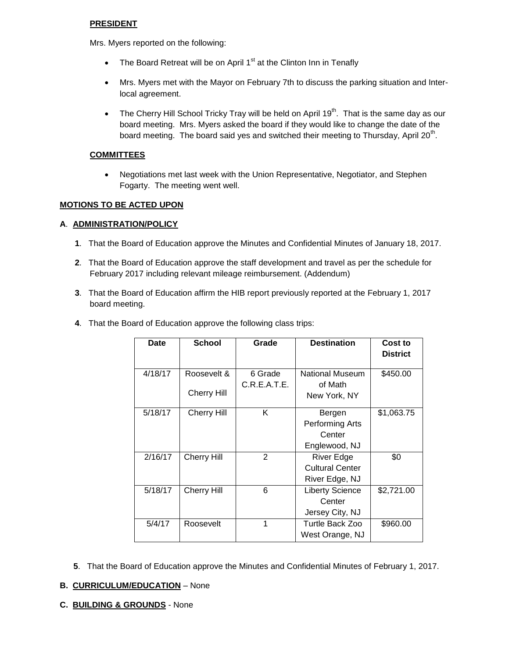### **PRESIDENT**

Mrs. Myers reported on the following:

- The Board Retreat will be on April  $1<sup>st</sup>$  at the Clinton Inn in Tenafly
- Mrs. Myers met with the Mayor on February 7th to discuss the parking situation and Interlocal agreement.
- The Cherry Hill School Tricky Tray will be held on April 19<sup>th</sup>. That is the same day as our board meeting. Mrs. Myers asked the board if they would like to change the date of the board meeting. The board said yes and switched their meeting to Thursday, April 20<sup>th</sup>.

### **COMMITTEES**

 Negotiations met last week with the Union Representative, Negotiator, and Stephen Fogarty. The meeting went well.

### **MOTIONS TO BE ACTED UPON**

### **A**. **ADMINISTRATION/POLICY**

- **1**. That the Board of Education approve the Minutes and Confidential Minutes of January 18, 2017.
- **2**. That the Board of Education approve the staff development and travel as per the schedule for February 2017 including relevant mileage reimbursement. (Addendum)
- **3**. That the Board of Education affirm the HIB report previously reported at the February 1, 2017 board meeting.

| Date    | <b>School</b>                     | Grade                   | <b>Destination</b>                                            | Cost to<br><b>District</b> |
|---------|-----------------------------------|-------------------------|---------------------------------------------------------------|----------------------------|
| 4/18/17 | Roosevelt &<br><b>Cherry Hill</b> | 6 Grade<br>C.R.E.A.T.E. | <b>National Museum</b><br>of Math<br>New York, NY             | \$450.00                   |
| 5/18/17 | <b>Cherry Hill</b>                | K                       | Bergen<br>Performing Arts<br>Center<br>Englewood, NJ          | \$1,063.75                 |
| 2/16/17 | <b>Cherry Hill</b>                | 2                       | <b>River Edge</b><br><b>Cultural Center</b><br>River Edge, NJ | \$0                        |
| 5/18/17 | <b>Cherry Hill</b>                | 6                       | <b>Liberty Science</b><br>Center<br>Jersey City, NJ           | \$2,721.00                 |
| 5/4/17  | Roosevelt                         | 1                       | Turtle Back Zoo<br>West Orange, NJ                            | \$960.00                   |

**4**. That the Board of Education approve the following class trips:

**5**. That the Board of Education approve the Minutes and Confidential Minutes of February 1, 2017.

#### **B. CURRICULUM/EDUCATION** – None

**C. BUILDING & GROUNDS** - None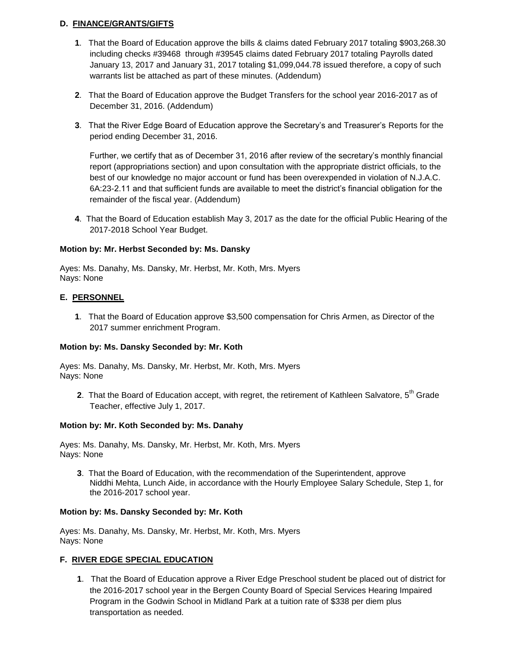# **D. FINANCE/GRANTS/GIFTS**

- **1**. That the Board of Education approve the bills & claims dated February 2017 totaling \$903,268.30 including checks #39468 through #39545 claims dated February 2017 totaling Payrolls dated January 13, 2017 and January 31, 2017 totaling \$1,099,044.78 issued therefore, a copy of such warrants list be attached as part of these minutes. (Addendum)
- **2**. That the Board of Education approve the Budget Transfers for the school year 2016-2017 as of December 31, 2016. (Addendum)
- **3**. That the River Edge Board of Education approve the Secretary's and Treasurer's Reports for the period ending December 31, 2016.

Further, we certify that as of December 31, 2016 after review of the secretary's monthly financial report (appropriations section) and upon consultation with the appropriate district officials, to the best of our knowledge no major account or fund has been overexpended in violation of N.J.A.C. 6A:23-2.11 and that sufficient funds are available to meet the district's financial obligation for the remainder of the fiscal year. (Addendum)

**4**. That the Board of Education establish May 3, 2017 as the date for the official Public Hearing of the 2017-2018 School Year Budget.

# **Motion by: Mr. Herbst Seconded by: Ms. Dansky**

Ayes: Ms. Danahy, Ms. Dansky, Mr. Herbst, Mr. Koth, Mrs. Myers Nays: None

# **E. PERSONNEL**

**1**. That the Board of Education approve \$3,500 compensation for Chris Armen, as Director of the 2017 summer enrichment Program.

# **Motion by: Ms. Dansky Seconded by: Mr. Koth**

Ayes: Ms. Danahy, Ms. Dansky, Mr. Herbst, Mr. Koth, Mrs. Myers Nays: None

**2.** That the Board of Education accept, with regret, the retirement of Kathleen Salvatore, 5<sup>th</sup> Grade Teacher, effective July 1, 2017.

# **Motion by: Mr. Koth Seconded by: Ms. Danahy**

Ayes: Ms. Danahy, Ms. Dansky, Mr. Herbst, Mr. Koth, Mrs. Myers Nays: None

**3**. That the Board of Education, with the recommendation of the Superintendent, approve Niddhi Mehta, Lunch Aide, in accordance with the Hourly Employee Salary Schedule, Step 1, for the 2016-2017 school year.

#### **Motion by: Ms. Dansky Seconded by: Mr. Koth**

Ayes: Ms. Danahy, Ms. Dansky, Mr. Herbst, Mr. Koth, Mrs. Myers Nays: None

# **F. RIVER EDGE SPECIAL EDUCATION**

**1**. That the Board of Education approve a River Edge Preschool student be placed out of district for the 2016-2017 school year in the Bergen County Board of Special Services Hearing Impaired Program in the Godwin School in Midland Park at a tuition rate of \$338 per diem plus transportation as needed.